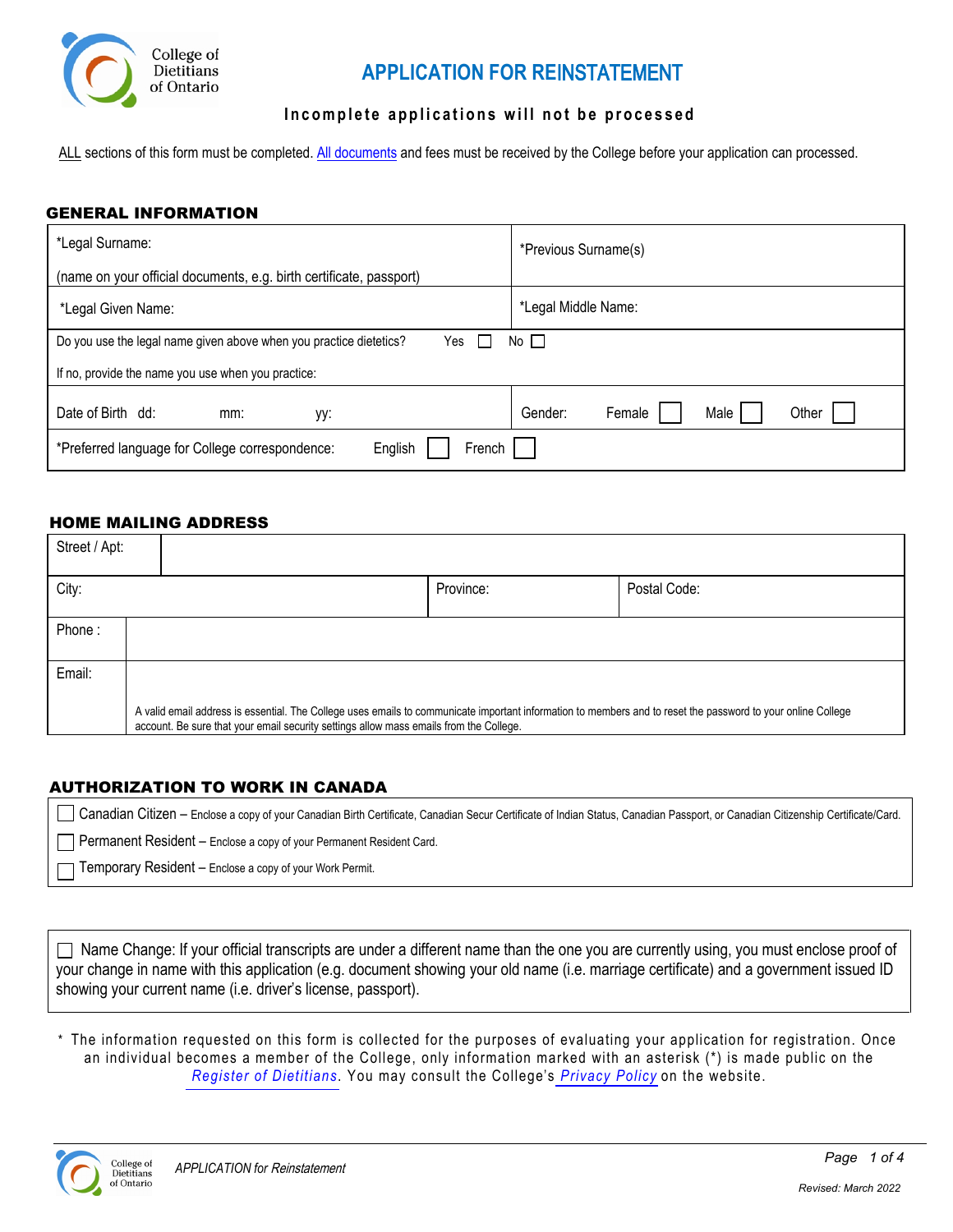

# **APPLICATION FOR RE**INSTATEMENT

### Incomplete applications will not be processed

ALL sections of this form must be completed. [All documents](#page-1-0) and fees must be received by the College before your application can processed.

### GENERAL INFORMATION

| *Legal Surname:                                                           | *Previous Surname(s)               |  |  |
|---------------------------------------------------------------------------|------------------------------------|--|--|
| (name on your official documents, e.g. birth certificate, passport)       |                                    |  |  |
| *Legal Given Name:                                                        | *Legal Middle Name:                |  |  |
| Do you use the legal name given above when you practice dietetics?<br>Yes | $No$ $\Box$                        |  |  |
| If no, provide the name you use when you practice:                        |                                    |  |  |
| Date of Birth dd:<br>mm:<br>уу:                                           | Male<br>Other<br>Gender:<br>Female |  |  |
| English<br>French<br>*Preferred language for College correspondence:      |                                    |  |  |

### HOME MAILING ADDRESS

| Street / Apt: |                                                                                                                                                                                                                                                        |           |              |
|---------------|--------------------------------------------------------------------------------------------------------------------------------------------------------------------------------------------------------------------------------------------------------|-----------|--------------|
| City:         |                                                                                                                                                                                                                                                        | Province: | Postal Code: |
| Phone:        |                                                                                                                                                                                                                                                        |           |              |
| Email:        |                                                                                                                                                                                                                                                        |           |              |
|               | A valid email address is essential. The College uses emails to communicate important information to members and to reset the password to your online College<br>account. Be sure that your email security settings allow mass emails from the College. |           |              |

### AUTHORIZATION TO WORK IN CANADA

Canadian Citizen – Enclose a copy of your Canadian Birth Certificate, Canadian Secur Certificate of Indian Status, Canadian Passport, or Canadian Citizenship Certificate/Card.

- Permanent Resident Enclose a copy of your Permanent Resident Card.
- Temporary Resident Enclose a copy of your Work Permit.

 $\Box$  Name Change: If your official transcripts are under a different name than the one you are currently using, you must enclose proof of your change in name with this application (e.g. document showing your old name (i.e. marriage certificate) and a government issued ID showing your current name (i.e. driver's license, passport).

\* The information requested on this form is collected for the purposes of evaluating your application for registration. Once an individual becomes a member of the College, only information marked with an asterisk (\*) is made public on the *[Register of](https://www.collegeofdietitians.org/resources/maintaining-your-rd-certification/information-appearing-on-the-register-of-dietitian.aspx) Dietitians*. You may consult the College's *[Privacy](http://www.collegeofdietitians.org/privacy-policy.aspx) Policy* on the website.

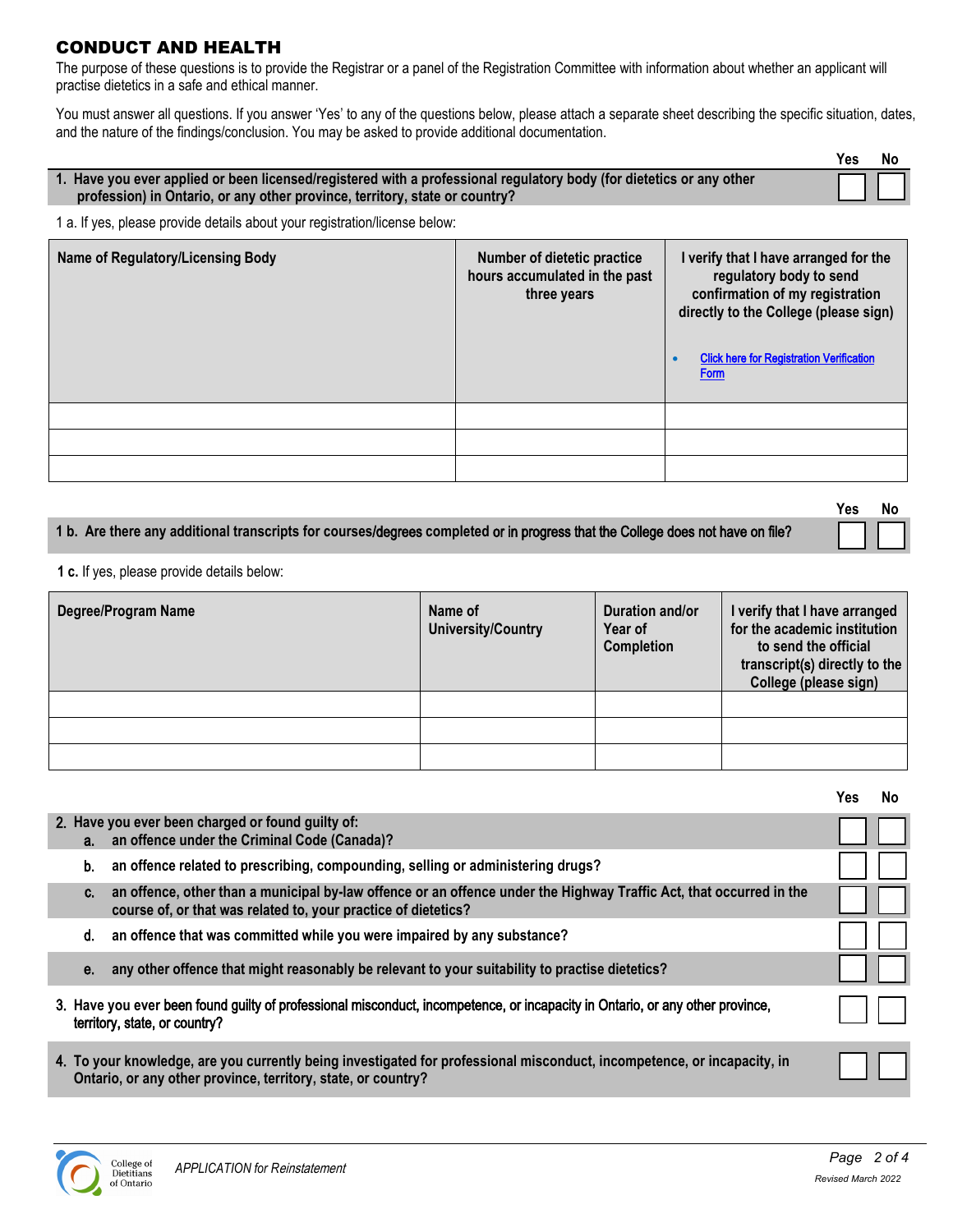# <span id="page-1-0"></span>CONDUCT AND HEALTH

The purpose of these questions is to provide the Registrar or a panel of the Registration Committee with information about whether an applicant will practise dietetics in a safe and ethical manner.

You must answer all questions. If you answer 'Yes' to any of the questions below, please attach a separate sheet describing the specific situation, dates, and the nature of the findings/conclusion. You may be asked to provide additional documentation.

|                                                                                                                                                                                                     | Yes | - No |
|-----------------------------------------------------------------------------------------------------------------------------------------------------------------------------------------------------|-----|------|
| 1. Have you ever applied or been licensed/registered with a professional regulatory body (for dietetics or any other<br>profession) in Ontario, or any other province, territory, state or country? |     |      |

1 a. If yes, please provide details about your registration/license below:

| Name of Regulatory/Licensing Body | Number of dietetic practice<br>hours accumulated in the past<br>three years | I verify that I have arranged for the<br>regulatory body to send<br>confirmation of my registration<br>directly to the College (please sign)<br><b>Click here for Registration Verification</b><br><b>Form</b> |
|-----------------------------------|-----------------------------------------------------------------------------|----------------------------------------------------------------------------------------------------------------------------------------------------------------------------------------------------------------|
|                                   |                                                                             |                                                                                                                                                                                                                |
|                                   |                                                                             |                                                                                                                                                                                                                |
|                                   |                                                                             |                                                                                                                                                                                                                |

| 1 b. Are there any additional transcripts for courses/degrees completed or in progress that the College does not have on file? |  |
|--------------------------------------------------------------------------------------------------------------------------------|--|

**1 c.** If yes, please provide details below:

| Degree/Program Name | Name of<br><b>University/Country</b> | Duration and/or<br>Year of<br><b>Completion</b> | I verify that I have arranged<br>for the academic institution<br>to send the official<br>transcript(s) directly to the<br>College (please sign) |
|---------------------|--------------------------------------|-------------------------------------------------|-------------------------------------------------------------------------------------------------------------------------------------------------|
|                     |                                      |                                                 |                                                                                                                                                 |
|                     |                                      |                                                 |                                                                                                                                                 |
|                     |                                      |                                                 |                                                                                                                                                 |

|                                                                                                                                                                                             | Yes. | No |
|---------------------------------------------------------------------------------------------------------------------------------------------------------------------------------------------|------|----|
| 2. Have you ever been charged or found guilty of:<br>a. an offence under the Criminal Code (Canada)?                                                                                        |      |    |
| an offence related to prescribing, compounding, selling or administering drugs?<br>b.                                                                                                       |      |    |
| an offence, other than a municipal by-law offence or an offence under the Highway Traffic Act, that occurred in the<br>C.<br>course of, or that was related to, your practice of dietetics? |      |    |
| an offence that was committed while you were impaired by any substance?<br>d.                                                                                                               |      |    |
| any other offence that might reasonably be relevant to your suitability to practise dietetics?<br>е.                                                                                        |      |    |
| 3. Have you ever been found guilty of professional misconduct, incompetence, or incapacity in Ontario, or any other province,<br>territory, state, or country?                              |      |    |
| 4. To your knowledge, are you currently being investigated for professional misconduct, incompetence, or incapacity, in<br>Ontario, or any other province, territory, state, or country?    |      |    |



**Yes No**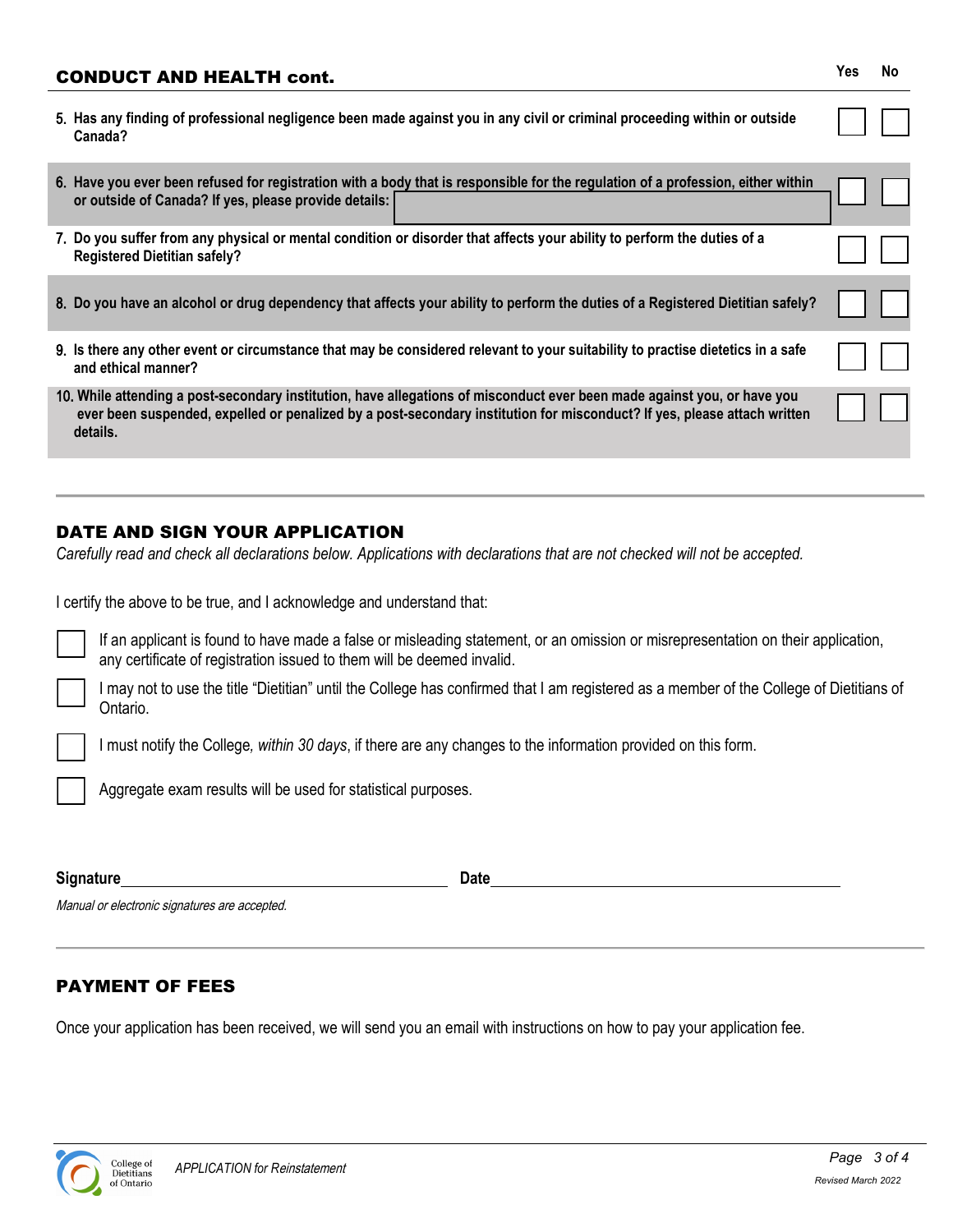# CONDUCT AND HEALTH cont. **Yes No** 5. **Has any finding of professional negligence been made against you in any civil or criminal proceeding within or outside Canada?** 6. **Have you ever been refused for registration with a body that is responsible for the regulation of a profession, either within or outside of Canada? If yes, please provide details:** 7. **Do you suffer from any physical or mental condition or disorder that affects your ability to perform the duties of a Registered Dietitian safely?** 8. **Do you have an alcohol or drug dependency that affects your ability to perform the duties of a Registered Dietitian safely?** 9. **Is there any other event or circumstance that may be considered relevant to your suitability to practise dietetics in a safe and ethical manner?** 10. **While attending a post-secondary institution, have allegations of misconduct ever been made against you, or have you ever been suspended, expelled or penalized by a post-secondary institution for misconduct? If yes, please attach written details.**

# DATE AND SIGN YOUR APPLICATION

*Carefully read and check all declarations below. Applications with declarations that are not checked will not be accepted.* 

I certify the above to be true, and I acknowledge and understand that:

If an applicant is found to have made a false or misleading statement, or an omission or misrepresentation on their application, any certificate of registration issued to them will be deemed invalid.

I may not to use the title "Dietitian" until the College has confirmed that I am registered as a member of the College of Dietitians of Ontario.

I must notify the College*, within 30 days*, if there are any changes to the information provided on this form.

Aggregate exam results will be used for statistical purposes.

**Signature** Date

Manual or electronic signatures are accepted.

## PAYMENT OF FEES

Once your application has been received, we will send you an email with instructions on how to pay your application fee.